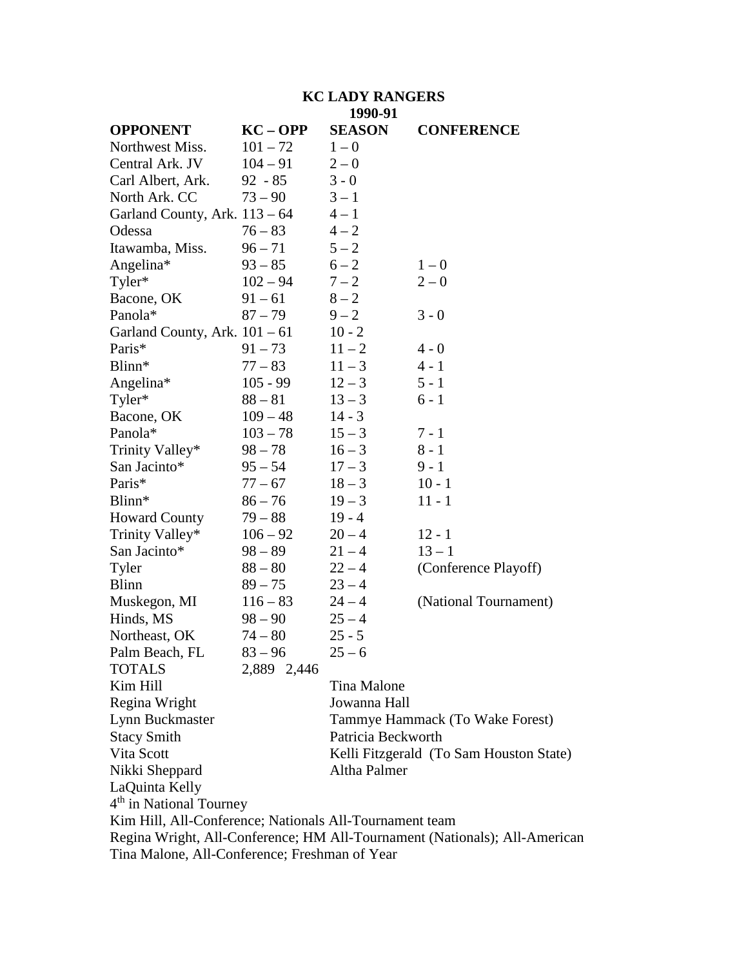# **KC LADY RANGERS**

|                                                         |             | 1990-91            |                                                                            |  |
|---------------------------------------------------------|-------------|--------------------|----------------------------------------------------------------------------|--|
| <b>OPPONENT</b>                                         | $KC - OPP$  | <b>SEASON</b>      | <b>CONFERENCE</b>                                                          |  |
| Northwest Miss.                                         | $101 - 72$  | $1 - 0$            |                                                                            |  |
| Central Ark. JV                                         | $104 - 91$  | $2 - 0$            |                                                                            |  |
| Carl Albert, Ark.                                       | $92 - 85$   | $3 - 0$            |                                                                            |  |
| North Ark. CC                                           | $73 - 90$   | $3 - 1$            |                                                                            |  |
| Garland County, Ark. $113 - 64$                         |             | $4 - 1$            |                                                                            |  |
| Odessa                                                  | $76 - 83$   | $4 - 2$            |                                                                            |  |
| Itawamba, Miss.                                         | $96 - 71$   | $5 - 2$            |                                                                            |  |
| Angelina*                                               | $93 - 85$   | $6 - 2$            | $1-0$                                                                      |  |
| Tyler*                                                  | $102 - 94$  | $7 - 2$            | $2 - 0$                                                                    |  |
| Bacone, OK                                              | $91 - 61$   | $8 - 2$            |                                                                            |  |
| Panola*                                                 | $87 - 79$   | $9 - 2$            | $3 - 0$                                                                    |  |
| Garland County, Ark. $101 - 61$                         |             | $10 - 2$           |                                                                            |  |
| Paris*                                                  | $91 - 73$   | $11 - 2$           | $4 - 0$                                                                    |  |
| Blinn*                                                  | $77 - 83$   | $11 - 3$           | $4 - 1$                                                                    |  |
| Angelina*                                               | $105 - 99$  | $12 - 3$           | $5 - 1$                                                                    |  |
| Tyler*                                                  | $88 - 81$   | $13 - 3$           | $6 - 1$                                                                    |  |
| Bacone, OK                                              | $109 - 48$  | $14 - 3$           |                                                                            |  |
| Panola*                                                 | $103 - 78$  | $15 - 3$           | $7 - 1$                                                                    |  |
| Trinity Valley*                                         | $98 - 78$   | $16 - 3$           | $8 - 1$                                                                    |  |
| San Jacinto*                                            | $95 - 54$   | $17 - 3$           | $9 - 1$                                                                    |  |
| Paris*                                                  | $77 - 67$   | $18 - 3$           | $10 - 1$                                                                   |  |
| Blinn*                                                  | $86 - 76$   | $19 - 3$           | $11 - 1$                                                                   |  |
| <b>Howard County</b>                                    | $79 - 88$   | $19 - 4$           |                                                                            |  |
| Trinity Valley*                                         | $106 - 92$  | $20 - 4$           | $12 - 1$                                                                   |  |
| San Jacinto*                                            | $98 - 89$   | $21 - 4$           | $13 - 1$                                                                   |  |
| Tyler                                                   | $88 - 80$   | $22 - 4$           | (Conference Playoff)                                                       |  |
| <b>Blinn</b>                                            | $89 - 75$   | $23 - 4$           |                                                                            |  |
| Muskegon, MI                                            | $116 - 83$  | $24 - 4$           | (National Tournament)                                                      |  |
| Hinds, MS                                               | $98 - 90$   | $25 - 4$           |                                                                            |  |
| Northeast, OK                                           | $74 - 80$   | $25 - 5$           |                                                                            |  |
| Palm Beach, FL                                          | $83 - 96$   | $25 - 6$           |                                                                            |  |
| <b>TOTALS</b>                                           | 2,889 2,446 |                    |                                                                            |  |
| Kim Hill                                                |             | Tina Malone        |                                                                            |  |
| Regina Wright                                           |             | Jowanna Hall       |                                                                            |  |
| Lynn Buckmaster                                         |             |                    | Tammye Hammack (To Wake Forest)                                            |  |
| <b>Stacy Smith</b>                                      |             | Patricia Beckworth |                                                                            |  |
| Vita Scott                                              |             |                    | Kelli Fitzgerald (To Sam Houston State)                                    |  |
| Nikki Sheppard                                          |             | Altha Palmer       |                                                                            |  |
| LaQuinta Kelly                                          |             |                    |                                                                            |  |
| 4 <sup>th</sup> in National Tourney                     |             |                    |                                                                            |  |
| Kim Hill, All-Conference; Nationals All-Tournament team |             |                    |                                                                            |  |
|                                                         |             |                    | Regina Wright, All-Conference; HM All-Tournament (Nationals); All-American |  |
| Tina Malone, All-Conference; Freshman of Year           |             |                    |                                                                            |  |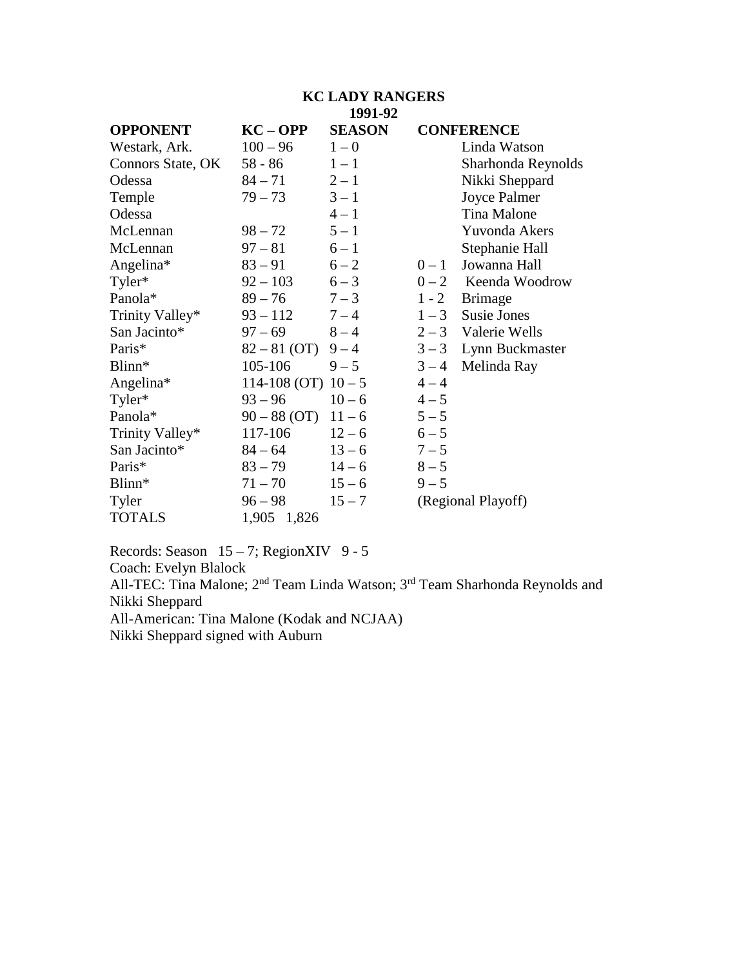# **KC LADY RANGERS 1991-92**

| <b>OPPONENT</b>   | $KC - OPP$              | <b>SEASON</b> |         | <b>CONFERENCE</b>      |
|-------------------|-------------------------|---------------|---------|------------------------|
| Westark, Ark.     | $100 - 96$              | $1 - 0$       |         | Linda Watson           |
| Connors State, OK | $58 - 86$               | $1 - 1$       |         | Sharhonda Reynolds     |
| Odessa            | $84 - 71$               | $2 - 1$       |         | Nikki Sheppard         |
| Temple            | $79 - 73$               | $3 - 1$       |         | Joyce Palmer           |
| Odessa            |                         | $4 - 1$       |         | Tina Malone            |
| McLennan          | $98 - 72$               | $5 - 1$       |         | Yuvonda Akers          |
| McLennan          | $97 - 81$               | $6 - 1$       |         | Stephanie Hall         |
| Angelina*         | $83 - 91$               | $6 - 2$       | $0-1$   | Jowanna Hall           |
| Tyler*            | $92 - 103$              | $6 - 3$       |         | $0 - 2$ Keenda Woodrow |
| Panola*           | $89 - 76$               | $7 - 3$       | $1 - 2$ | <b>Brimage</b>         |
| Trinity Valley*   | $93 - 112$              | $7 - 4$       | $1 - 3$ | <b>Susie Jones</b>     |
| San Jacinto*      | $97 - 69$               | $8 - 4$       |         | $2-3$ Valerie Wells    |
| Paris*            | $82 - 81$ (OT)          | $9 - 4$       | $3 - 3$ | Lynn Buckmaster        |
| Blinn*            | 105-106                 | $9 - 5$       | $3 - 4$ | Melinda Ray            |
| Angelina*         | 114-108 (OT) $10-5$     |               | $4 - 4$ |                        |
| Tyler*            | $93 - 96$               | $10 - 6$      | $4 - 5$ |                        |
| Panola*           | $90 - 88$ (OT) $11 - 6$ |               | $5 - 5$ |                        |
| Trinity Valley*   | 117-106                 | $12 - 6$      | $6 - 5$ |                        |
| San Jacinto*      | $84 - 64$               | $13 - 6$      | $7 - 5$ |                        |
| Paris*            | $83 - 79$               | $14 - 6$      | $8 - 5$ |                        |
| Blinn*            | $71 - 70$               | $15 - 6$      | $9 - 5$ |                        |
| Tyler             | $96 - 98$               | $15 - 7$      |         | (Regional Playoff)     |
| <b>TOTALS</b>     | 1,905 1,826             |               |         |                        |

Records: Season  $15 - 7$ ; RegionXIV 9 - 5

Coach: Evelyn Blalock

All-TEC: Tina Malone; 2<sup>nd</sup> Team Linda Watson; 3<sup>rd</sup> Team Sharhonda Reynolds and Nikki Sheppard

All-American: Tina Malone (Kodak and NCJAA)

Nikki Sheppard signed with Auburn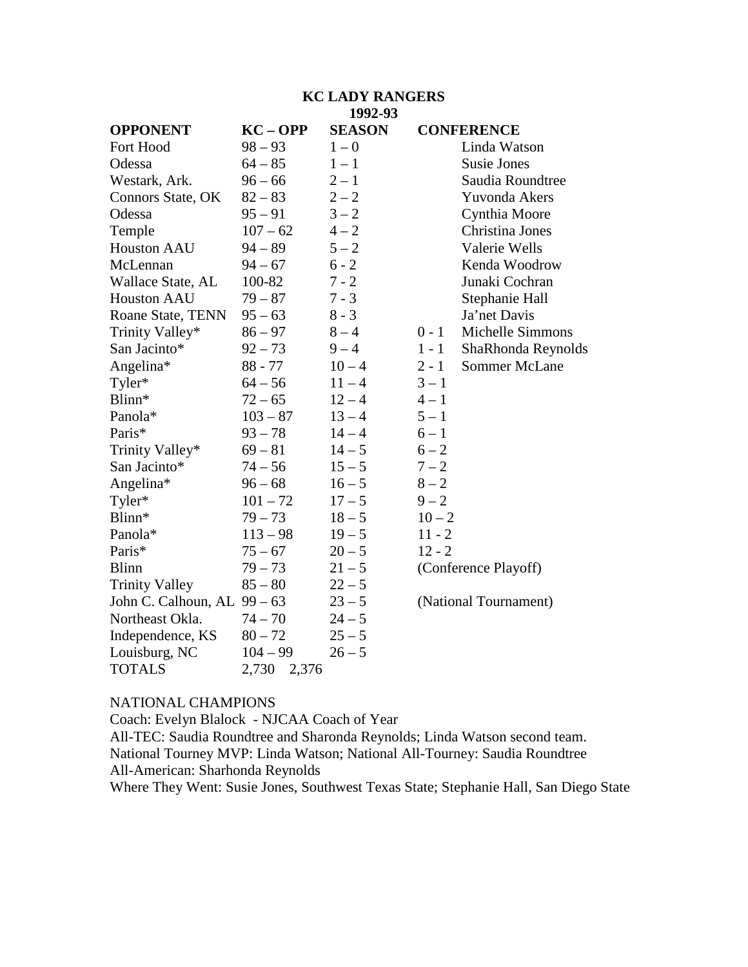## **KC LADY RANGERS 1992-93**

| <b>OPPONENT</b>             | $KC - OPP$     | <b>SEASON</b> |          | <b>CONFERENCE</b>     |
|-----------------------------|----------------|---------------|----------|-----------------------|
| Fort Hood                   | $98 - 93$      | $1 - 0$       |          | Linda Watson          |
| Odessa                      | $64 - 85$      | $1 - 1$       |          | <b>Susie Jones</b>    |
| Westark, Ark.               | $96 - 66$      | $2 - 1$       |          | Saudia Roundtree      |
| Connors State, OK           | $82 - 83$      | $2 - 2$       |          | Yuvonda Akers         |
| Odessa                      | $95 - 91$      | $3 - 2$       |          | Cynthia Moore         |
| Temple                      | $107 - 62$     | $4 - 2$       |          | Christina Jones       |
| <b>Houston AAU</b>          | $94 - 89$      | $5 - 2$       |          | Valerie Wells         |
| McLennan                    | $94 - 67$      | $6 - 2$       |          | Kenda Woodrow         |
| Wallace State, AL           | 100-82         | $7 - 2$       |          | Junaki Cochran        |
| <b>Houston AAU</b>          | $79 - 87$      | $7 - 3$       |          | Stephanie Hall        |
| Roane State, TENN           | $95 - 63$      | $8 - 3$       |          | Ja'net Davis          |
| Trinity Valley*             | $86 - 97$      | $8 - 4$       | $0 - 1$  | Michelle Simmons      |
| San Jacinto*                | $92 - 73$      | $9 - 4$       | $1 - 1$  | ShaRhonda Reynolds    |
| Angelina*                   | $88 - 77$      | $10 - 4$      | $2 - 1$  | Sommer McLane         |
| Tyler*                      | $64 - 56$      | $11 - 4$      | $3 - 1$  |                       |
| Blinn*                      | $72 - 65$      | $12 - 4$      | $4 - 1$  |                       |
| Panola*                     | $103 - 87$     | $13 - 4$      | $5 - 1$  |                       |
| Paris*                      | $93 - 78$      | $14 - 4$      | $6 - 1$  |                       |
| Trinity Valley*             | $69 - 81$      | $14 - 5$      | $6 - 2$  |                       |
| San Jacinto*                | $74 - 56$      | $15 - 5$      | $7 - 2$  |                       |
| Angelina*                   | $96 - 68$      | $16 - 5$      | $8 - 2$  |                       |
| Tyler*                      | $101 - 72$     | $17 - 5$      | $9 - 2$  |                       |
| Blinn*                      | $79 - 73$      | $18 - 5$      | $10 - 2$ |                       |
| Panola*                     | $113 - 98$     | $19 - 5$      | $11 - 2$ |                       |
| Paris*                      | $75 - 67$      | $20 - 5$      | $12 - 2$ |                       |
| <b>Blinn</b>                | $79 - 73$      | $21 - 5$      |          | (Conference Playoff)  |
| <b>Trinity Valley</b>       | $85 - 80$      | $22 - 5$      |          |                       |
| John C. Calhoun, AL 99 - 63 |                | $23 - 5$      |          | (National Tournament) |
| Northeast Okla.             | $74 - 70$      | $24 - 5$      |          |                       |
| Independence, KS            | $80 - 72$      | $25 - 5$      |          |                       |
| Louisburg, NC               | $104 - 99$     | $26 - 5$      |          |                       |
| <b>TOTALS</b>               | 2,730<br>2,376 |               |          |                       |

# NATIONAL CHAMPIONS

Coach: Evelyn Blalock - NJCAA Coach of Year

All-TEC: Saudia Roundtree and Sharonda Reynolds; Linda Watson second team. National Tourney MVP: Linda Watson; National All-Tourney: Saudia Roundtree All-American: Sharhonda Reynolds

Where They Went: Susie Jones, Southwest Texas State; Stephanie Hall, San Diego State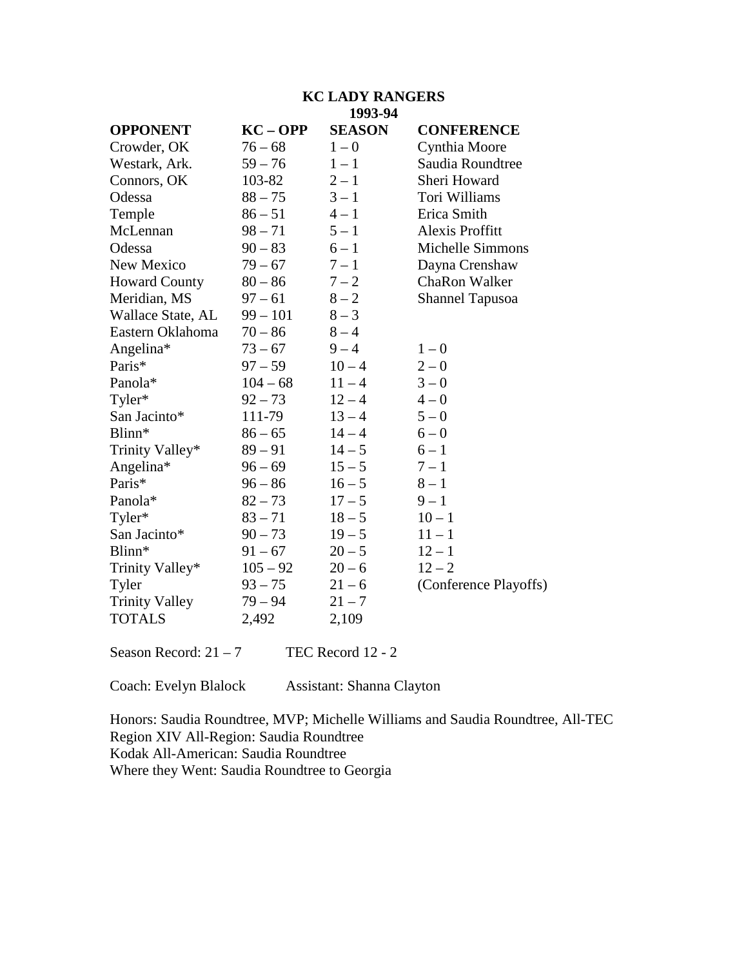#### **KC LADY RANGERS 1993-94**

|                       |            | エノノJーノマ       |                         |
|-----------------------|------------|---------------|-------------------------|
| <b>OPPONENT</b>       | $KC - OPP$ | <b>SEASON</b> | <b>CONFERENCE</b>       |
| Crowder, OK           | $76 - 68$  | $1 - 0$       | Cynthia Moore           |
| Westark, Ark.         | $59 - 76$  | $1 - 1$       | Saudia Roundtree        |
| Connors, OK           | 103-82     | $2 - 1$       | Sheri Howard            |
| Odessa                | $88 - 75$  | $3 - 1$       | Tori Williams           |
| Temple                | $86 - 51$  | $4 - 1$       | Erica Smith             |
| McLennan              | $98 - 71$  | $5 - 1$       | <b>Alexis Proffitt</b>  |
| Odessa                | $90 - 83$  | $6 - 1$       | <b>Michelle Simmons</b> |
| New Mexico            | $79 - 67$  | $7 - 1$       | Dayna Crenshaw          |
| <b>Howard County</b>  | $80 - 86$  | $7 - 2$       | ChaRon Walker           |
| Meridian, MS          | $97 - 61$  | $8 - 2$       | <b>Shannel Tapusoa</b>  |
| Wallace State, AL     | $99 - 101$ | $8 - 3$       |                         |
| Eastern Oklahoma      | $70 - 86$  | $8 - 4$       |                         |
| Angelina*             | $73 - 67$  | $9 - 4$       | $1 - 0$                 |
| Paris*                | $97 - 59$  | $10 - 4$      | $2 - 0$                 |
| Panola*               | $104 - 68$ | $11 - 4$      | $3 - 0$                 |
| Tyler*                | $92 - 73$  | $12 - 4$      | $4 - 0$                 |
| San Jacinto*          | 111-79     | $13 - 4$      | $5 - 0$                 |
| Blinn*                | $86 - 65$  | $14 - 4$      | $6 - 0$                 |
| Trinity Valley*       | $89 - 91$  | $14 - 5$      | $6 - 1$                 |
| Angelina*             | $96 - 69$  | $15 - 5$      | $7 - 1$                 |
| Paris*                | $96 - 86$  | $16 - 5$      | $8 - 1$                 |
| Panola*               | $82 - 73$  | $17 - 5$      | $9 - 1$                 |
| Tyler*                | $83 - 71$  | $18 - 5$      | $10 - 1$                |
| San Jacinto*          | $90 - 73$  | $19 - 5$      | $11 - 1$                |
| Blinn*                | $91 - 67$  | $20 - 5$      | $12 - 1$                |
| Trinity Valley*       | $105 - 92$ | $20 - 6$      | $12 - 2$                |
| Tyler                 | $93 - 75$  | $21 - 6$      | (Conference Playoffs)   |
| <b>Trinity Valley</b> | $79 - 94$  | $21 - 7$      |                         |
| <b>TOTALS</b>         | 2,492      | 2,109         |                         |
|                       |            |               |                         |

Season Record:  $21 - 7$  TEC Record 12 - 2

Coach: Evelyn Blalock Assistant: Shanna Clayton

Honors: Saudia Roundtree, MVP; Michelle Williams and Saudia Roundtree, All-TEC Region XIV All-Region: Saudia Roundtree Kodak All-American: Saudia Roundtree Where they Went: Saudia Roundtree to Georgia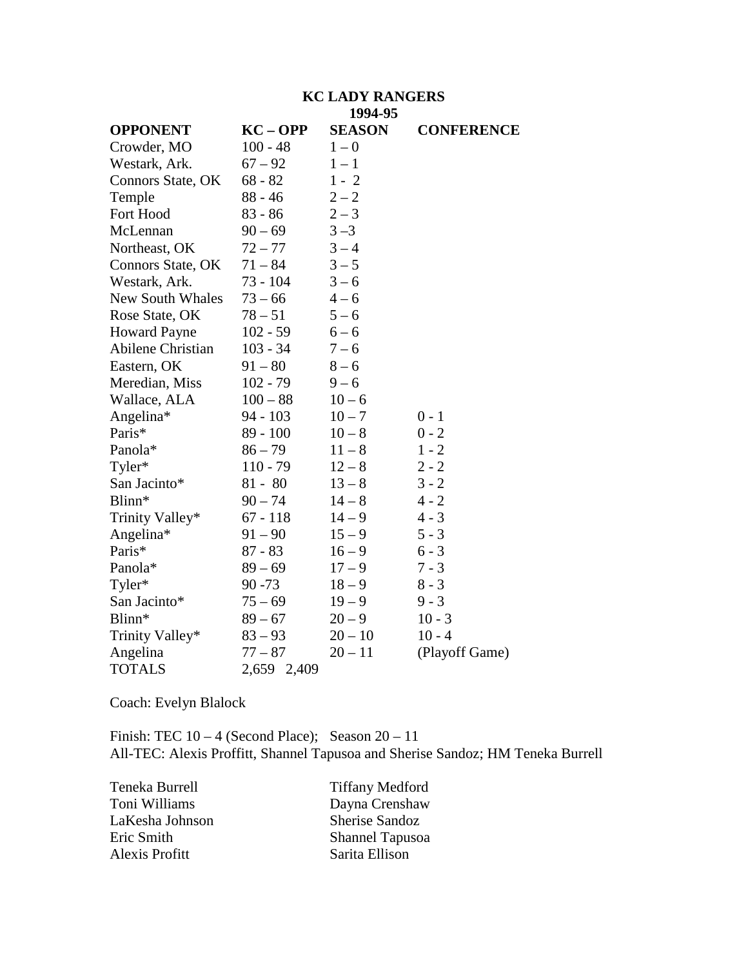### **KC LADY RANGERS 1994-95**

|                         |             | ェノノマーノン       |                   |
|-------------------------|-------------|---------------|-------------------|
| <b>OPPONENT</b>         | $KC - OPP$  | <b>SEASON</b> | <b>CONFERENCE</b> |
| Crowder, MO             | $100 - 48$  | $1 - 0$       |                   |
| Westark, Ark.           | $67 - 92$   | $1 - 1$       |                   |
| Connors State, OK       | $68 - 82$   | $1 - 2$       |                   |
| Temple                  | $88 - 46$   | $2 - 2$       |                   |
| Fort Hood               | $83 - 86$   | $2 - 3$       |                   |
| McLennan                | $90 - 69$   | $3 - 3$       |                   |
| Northeast, OK           | $72 - 77$   | $3 - 4$       |                   |
| Connors State, OK       | $71 - 84$   | $3 - 5$       |                   |
| Westark, Ark.           | 73 - 104    | $3 - 6$       |                   |
| <b>New South Whales</b> | $73 - 66$   | $4 - 6$       |                   |
| Rose State, OK          | $78 - 51$   | $5 - 6$       |                   |
| <b>Howard Payne</b>     | $102 - 59$  | $6 - 6$       |                   |
| Abilene Christian       | $103 - 34$  | $7 - 6$       |                   |
| Eastern, OK             | $91 - 80$   | $8 - 6$       |                   |
| Meredian, Miss          | $102 - 79$  | $9 - 6$       |                   |
| Wallace, ALA            | $100 - 88$  | $10 - 6$      |                   |
| Angelina*               | $94 - 103$  | $10 - 7$      | $0 - 1$           |
| Paris*                  | $89 - 100$  | $10 - 8$      | $0 - 2$           |
| Panola*                 | $86 - 79$   | $11 - 8$      | $1 - 2$           |
| Tyler*                  | $110 - 79$  | $12 - 8$      | $2 - 2$           |
| San Jacinto*            | $81 - 80$   | $13 - 8$      | $3 - 2$           |
| Blinn*                  | $90 - 74$   | $14 - 8$      | $4 - 2$           |
| Trinity Valley*         | $67 - 118$  | $14 - 9$      | $4 - 3$           |
| Angelina*               | $91 - 90$   | $15 - 9$      | $5 - 3$           |
| Paris*                  | $87 - 83$   | $16 - 9$      | $6 - 3$           |
| Panola*                 | $89 - 69$   | $17 - 9$      | $7 - 3$           |
| Tyler*                  | $90 - 73$   | $18 - 9$      | $8 - 3$           |
| San Jacinto*            | $75 - 69$   | $19 - 9$      | $9 - 3$           |
| Blinn*                  | $89 - 67$   | $20 - 9$      | $10 - 3$          |
| Trinity Valley*         | $83 - 93$   | $20 - 10$     | $10 - 4$          |
| Angelina                | $77 - 87$   | $20 - 11$     | (Playoff Game)    |
| <b>TOTALS</b>           | 2,659 2,409 |               |                   |

Coach: Evelyn Blalock

Finish: TEC  $10 - 4$  (Second Place); Season  $20 - 11$ All-TEC: Alexis Proffitt, Shannel Tapusoa and Sherise Sandoz; HM Teneka Burrell

| Teneka Burrell  | <b>Tiffany Medford</b> |
|-----------------|------------------------|
| Toni Williams   | Dayna Crenshaw         |
| LaKesha Johnson | Sherise Sandoz         |
| Eric Smith      | <b>Shannel Tapusoa</b> |
| Alexis Profitt  | Sarita Ellison         |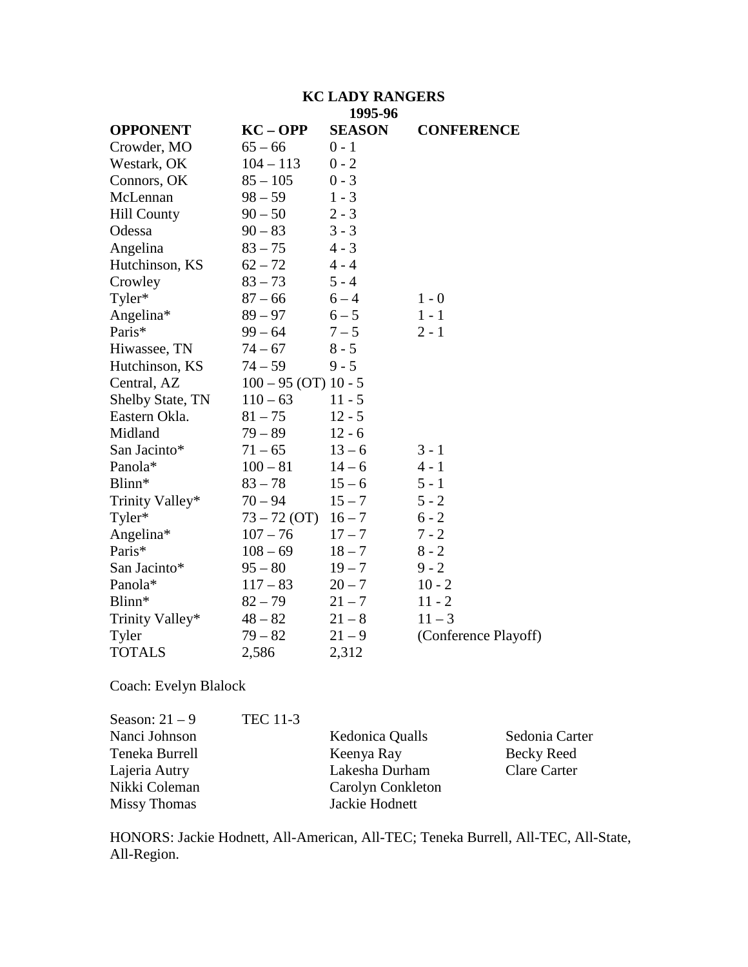#### **KC LADY RANGERS 1995-96**

|                    |                          | 1773-70       |                      |
|--------------------|--------------------------|---------------|----------------------|
| <b>OPPONENT</b>    | $KC - OPP$               | <b>SEASON</b> | <b>CONFERENCE</b>    |
| Crowder, MO        | $65 - 66$                | $0 - 1$       |                      |
| Westark, OK        | $104 - 113$              | $0 - 2$       |                      |
| Connors, OK        | $85 - 105$               | $0 - 3$       |                      |
| McLennan           | $98 - 59$                | $1 - 3$       |                      |
| <b>Hill County</b> | $90 - 50$                | $2 - 3$       |                      |
| Odessa             | $90 - 83$                | $3 - 3$       |                      |
| Angelina           | $83 - 75$                | $4 - 3$       |                      |
| Hutchinson, KS     | $62 - 72$                | $4 - 4$       |                      |
| Crowley            | $83 - 73$                | $5 - 4$       |                      |
| Tyler*             | $87 - 66$                | $6 - 4$       | $1 - 0$              |
| Angelina*          | $89 - 97$                | $6 - 5$       | $1 - 1$              |
| Paris*             | $99 - 64$                | $7 - 5$       | $2 - 1$              |
| Hiwassee, TN       | $74 - 67$                | $8 - 5$       |                      |
| Hutchinson, KS     | $74 - 59$                | $9 - 5$       |                      |
| Central, AZ        | $100 - 95$ (OT) $10 - 5$ |               |                      |
| Shelby State, TN   | $110 - 63$               | $11 - 5$      |                      |
| Eastern Okla.      | $81 - 75$                | $12 - 5$      |                      |
| Midland            | $79 - 89$                | $12 - 6$      |                      |
| San Jacinto*       | $71 - 65$                | $13 - 6$      | $3 - 1$              |
| Panola*            | $100 - 81$               | $14 - 6$      | $4 - 1$              |
| Blinn*             | $83 - 78$                | $15 - 6$      | $5 - 1$              |
| Trinity Valley*    | $70 - 94$                | $15 - 7$      | $5 - 2$              |
| Tyler*             | $73 - 72$ (OT)           | $16 - 7$      | $6 - 2$              |
| Angelina*          | $107 - 76$               | $17 - 7$      | $7 - 2$              |
| Paris*             | $108 - 69$               | $18 - 7$      | $8 - 2$              |
| San Jacinto*       | $95 - 80$                | $19 - 7$      | $9 - 2$              |
| Panola*            | $117 - 83$               | $20 - 7$      | $10 - 2$             |
| Blinn*             | $82 - 79$                | $21 - 7$      | $11 - 2$             |
| Trinity Valley*    | $48 - 82$                | $21 - 8$      | $11 - 3$             |
| Tyler              | $79 - 82$                | $21 - 9$      | (Conference Playoff) |
| <b>TOTALS</b>      | 2,586                    | 2,312         |                      |
|                    |                          |               |                      |

Coach: Evelyn Blalock

| Season: $21 - 9$    | <b>TEC 11-3</b> |                   |                     |
|---------------------|-----------------|-------------------|---------------------|
| Nanci Johnson       |                 | Kedonica Qualls   | Sedonia Carter      |
| Teneka Burrell      |                 | Keenya Ray        | Becky Reed          |
| Lajeria Autry       |                 | Lakesha Durham    | <b>Clare Carter</b> |
| Nikki Coleman       |                 | Carolyn Conkleton |                     |
| <b>Missy Thomas</b> |                 | Jackie Hodnett    |                     |

HONORS: Jackie Hodnett, All-American, All-TEC; Teneka Burrell, All-TEC, All-State, All-Region.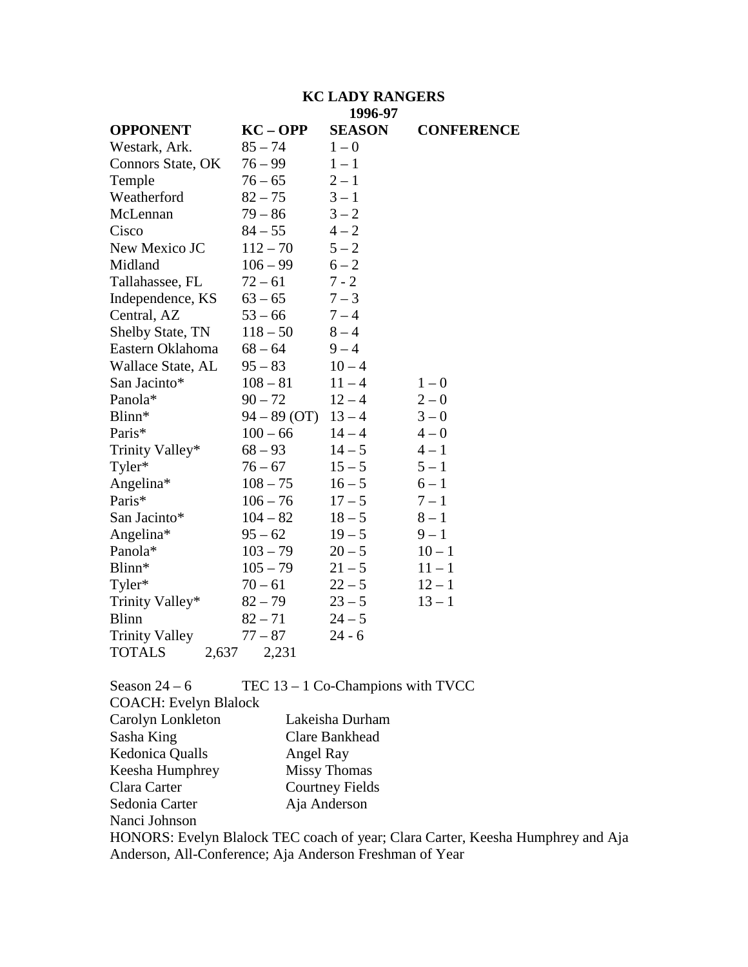## **KC LADY RANGERS 1996-97**

|                         |                | 11/V          |                   |
|-------------------------|----------------|---------------|-------------------|
| <b>OPPONENT</b>         | $KC - OPP$     | <b>SEASON</b> | <b>CONFERENCE</b> |
| Westark, Ark.           | $85 - 74$      | $1 - 0$       |                   |
| Connors State, OK       | $76 - 99$      | $1 - 1$       |                   |
| Temple                  | $76 - 65$      | $2 - 1$       |                   |
| Weatherford             | $82 - 75$      | $3 - 1$       |                   |
| McLennan                | $79 - 86$      | $3 - 2$       |                   |
| Cisco                   | $84 - 55$      | $4 - 2$       |                   |
| New Mexico JC           | $112 - 70$     | $5 - 2$       |                   |
| Midland                 | $106 - 99$     | $6 - 2$       |                   |
| Tallahassee, FL         | $72 - 61$      | $7 - 2$       |                   |
| Independence, KS        | $63 - 65$      | $7 - 3$       |                   |
| Central, AZ             | $53 - 66$      | $7 - 4$       |                   |
| <b>Shelby State, TN</b> | $118 - 50$     | $8 - 4$       |                   |
| Eastern Oklahoma        | $68 - 64$      | $9 - 4$       |                   |
| Wallace State, AL       | $95 - 83$      | $10 - 4$      |                   |
| San Jacinto*            | $108 - 81$     | $11 - 4$      | $1 - 0$           |
| Panola*                 | $90 - 72$      | $12 - 4$      | $2 - 0$           |
| Blinn*                  | $94 - 89$ (OT) | $13 - 4$      | $3 - 0$           |
| Paris*                  | $100 - 66$     | $14 - 4$      | $4 - 0$           |
| Trinity Valley*         | $68 - 93$      | $14 - 5$      | $4 - 1$           |
| Tyler*                  | $76 - 67$      | $15 - 5$      | $5 - 1$           |
| Angelina*               | $108 - 75$     | $16 - 5$      | $6 - 1$           |
| Paris*                  | $106 - 76$     | $17 - 5$      | $7 - 1$           |
| San Jacinto*            | $104 - 82$     | $18 - 5$      | $8-1$             |
| Angelina*               | $95 - 62$      | $19 - 5$      | $9 - 1$           |
| Panola*                 | $103 - 79$     | $20 - 5$      | $10 - 1$          |
| Blinn*                  | $105 - 79$     | $21 - 5$      | $11 - 1$          |
| Tyler*                  | $70 - 61$      | $22 - 5$      | $12 - 1$          |
| Trinity Valley*         | $82 - 79$      | $23 - 5$      | $13 - 1$          |
| <b>Blinn</b>            | $82 - 71$      | $24 - 5$      |                   |
| <b>Trinity Valley</b>   | $77 - 87$      | $24 - 6$      |                   |
| <b>TOTALS</b><br>2,637  | 2,231          |               |                   |

| Season $24-6$                | TEC $13 - 1$ Co-Champions with TVCC                                             |
|------------------------------|---------------------------------------------------------------------------------|
| <b>COACH: Evelyn Blalock</b> |                                                                                 |
| Carolyn Lonkleton            | Lakeisha Durham                                                                 |
| Sasha King                   | Clare Bankhead                                                                  |
| Kedonica Qualls              | Angel Ray                                                                       |
| Keesha Humphrey              | <b>Missy Thomas</b>                                                             |
| Clara Carter                 | <b>Courtney Fields</b>                                                          |
| Sedonia Carter               | Aja Anderson                                                                    |
| Nanci Johnson                |                                                                                 |
|                              | HONORS: Evelyn Blalock TEC coach of year; Clara Carter, Keesha Humphrey and Aja |

Anderson, All-Conference; Aja Anderson Freshman of Year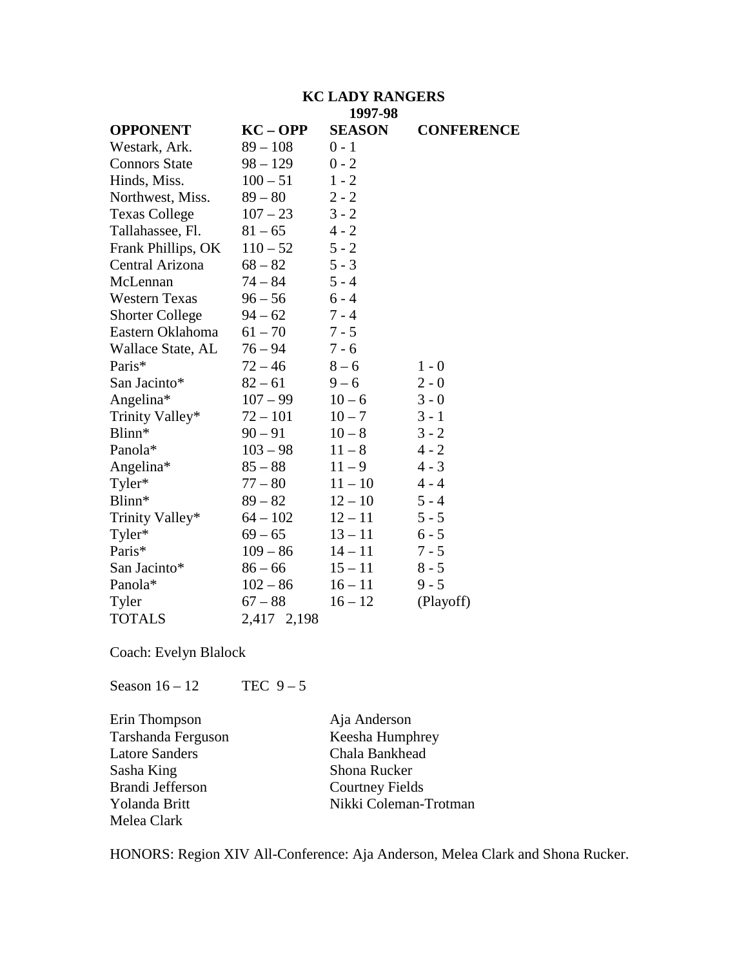#### **KC LADY RANGERS 1997-98**

| <b>OPPONENT</b>        | $KC - OPP$  | <b>SEASON</b> | <b>CONFERENCE</b> |
|------------------------|-------------|---------------|-------------------|
| Westark, Ark.          | $89 - 108$  | $0 - 1$       |                   |
| <b>Connors State</b>   | $98 - 129$  | $0 - 2$       |                   |
| Hinds, Miss.           | $100 - 51$  | $1 - 2$       |                   |
| Northwest, Miss.       | $89 - 80$   | $2 - 2$       |                   |
| <b>Texas College</b>   | $107 - 23$  | $3 - 2$       |                   |
| Tallahassee, Fl.       | $81 - 65$   | $4 - 2$       |                   |
| Frank Phillips, OK     | $110 - 52$  | $5 - 2$       |                   |
| Central Arizona        | $68 - 82$   | $5 - 3$       |                   |
| McLennan               | $74 - 84$   | $5 - 4$       |                   |
| <b>Western Texas</b>   | $96 - 56$   | $6 - 4$       |                   |
| <b>Shorter College</b> | $94 - 62$   | $7 - 4$       |                   |
| Eastern Oklahoma       | $61 - 70$   | $7 - 5$       |                   |
| Wallace State, AL      | $76 - 94$   | $7 - 6$       |                   |
| Paris*                 | $72 - 46$   | $8 - 6$       | $1 - 0$           |
| San Jacinto*           | $82 - 61$   | $9 - 6$       | $2 - 0$           |
| Angelina*              | $107 - 99$  | $10 - 6$      | $3 - 0$           |
| Trinity Valley*        | $72 - 101$  | $10 - 7$      | $3 - 1$           |
| Blinn*                 | $90 - 91$   | $10 - 8$      | $3 - 2$           |
| Panola*                | $103 - 98$  | $11 - 8$      | $4 - 2$           |
| Angelina*              | $85 - 88$   | $11 - 9$      | $4 - 3$           |
| Tyler*                 | $77 - 80$   | $11 - 10$     | $4 - 4$           |
| Blinn*                 | $89 - 82$   | $12 - 10$     | $5 - 4$           |
| Trinity Valley*        | $64 - 102$  | $12 - 11$     | $5 - 5$           |
| Tyler*                 | $69 - 65$   | $13 - 11$     | $6 - 5$           |
| Paris*                 | $109 - 86$  | $14 - 11$     | $7 - 5$           |
| San Jacinto*           | $86 - 66$   | $15 - 11$     | $8 - 5$           |
| Panola*                | $102 - 86$  | $16 - 11$     | $9 - 5$           |
| Tyler                  | $67 - 88$   | $16 - 12$     | (Playoff)         |
| <b>TOTALS</b>          | 2,417 2,198 |               |                   |

Coach: Evelyn Blalock

Season  $16 - 12$  TEC  $9 - 5$ 

Erin Thompson<br>
Tarshanda Ferguson<br>
Keesha Humphrey Tarshanda Ferguson Keesha Humphre<br>
Latore Sanders Chala Bankhead Latore Sanders<br>Sasha King Sasha King<br>Brandi Jefferson<br>Courtney Field Melea Clark

Courtney Fields Yolanda Britt Nikki Coleman-Trotman

HONORS: Region XIV All-Conference: Aja Anderson, Melea Clark and Shona Rucker.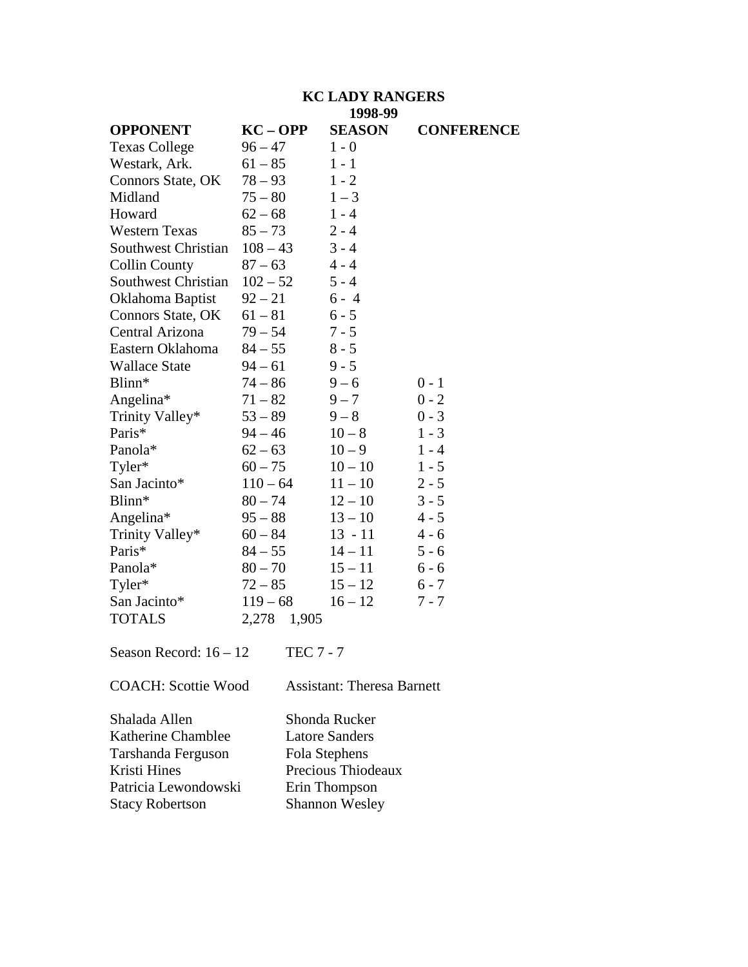## **KC LADY RANGERS 1998-99**

| <b>OPPONENT</b>            | $KC - OPP$     | <b>SEASON</b> | <b>CONFERENCE</b> |
|----------------------------|----------------|---------------|-------------------|
| <b>Texas College</b>       | $96 - 47$      | $1 - 0$       |                   |
| Westark, Ark.              | $61 - 85$      | $1 - 1$       |                   |
| Connors State, OK          | $78 - 93$      | $1 - 2$       |                   |
| Midland                    | $75 - 80$      | $1 - 3$       |                   |
| Howard                     | $62 - 68$      | $1 - 4$       |                   |
| <b>Western Texas</b>       | $85 - 73$      | $2 - 4$       |                   |
| <b>Southwest Christian</b> | $108 - 43$     | $3 - 4$       |                   |
| <b>Collin County</b>       | $87 - 63$      | $4 - 4$       |                   |
| <b>Southwest Christian</b> | $102 - 52$     | $5 - 4$       |                   |
| Oklahoma Baptist           | $92 - 21$      | $6 - 4$       |                   |
| Connors State, OK          | $61 - 81$      | $6 - 5$       |                   |
| Central Arizona            | $79 - 54$      | $7 - 5$       |                   |
| Eastern Oklahoma           | $84 - 55$      | $8 - 5$       |                   |
| <b>Wallace State</b>       | $94 - 61$      | $9 - 5$       |                   |
| Blinn*                     | $74 - 86$      | $9 - 6$       | $0 - 1$           |
| Angelina*                  | $71 - 82$      | $9 - 7$       | $0 - 2$           |
| Trinity Valley*            | $53 - 89$      | $9 - 8$       | $0 - 3$           |
| Paris*                     | $94 - 46$      | $10 - 8$      | $1 - 3$           |
| Panola*                    | $62 - 63$      | $10 - 9$      | $1 - 4$           |
| Tyler*                     | $60 - 75$      | $10 - 10$     | $1 - 5$           |
| San Jacinto*               | $110 - 64$     | $11 - 10$     | $2 - 5$           |
| Blinn*                     | $80 - 74$      | $12 - 10$     | $3 - 5$           |
| Angelina*                  | $95 - 88$      | $13 - 10$     | $4 - 5$           |
| Trinity Valley*            | $60 - 84$      | $13 - 11$     | $4 - 6$           |
| Paris*                     | $84 - 55$      | $14 - 11$     | $5 - 6$           |
| Panola*                    | $80 - 70$      | $15 - 11$     | $6 - 6$           |
| Tyler*                     | $72 - 85$      | $15 - 12$     | $6 - 7$           |
| San Jacinto*               | $119 - 68$     | $16 - 12$     | $7 - 7$           |
| <b>TOTALS</b>              | 2,278<br>1,905 |               |                   |
|                            |                |               |                   |

Season Record:  $16 - 12$  TEC 7 - 7

COACH: Scottie Wood Assistant: Theresa Barnett

Katherine Chamblee Latore Sanders<br>Tarshanda Ferguson Fola Stephens Tarshanda Ferguson<br>Kristi Hines Patricia Lewondowski<br>Stacy Robertson

Shalada Allen Shonda Rucker Precious Thiodeaux<br>Erin Thompson Shannon Wesley